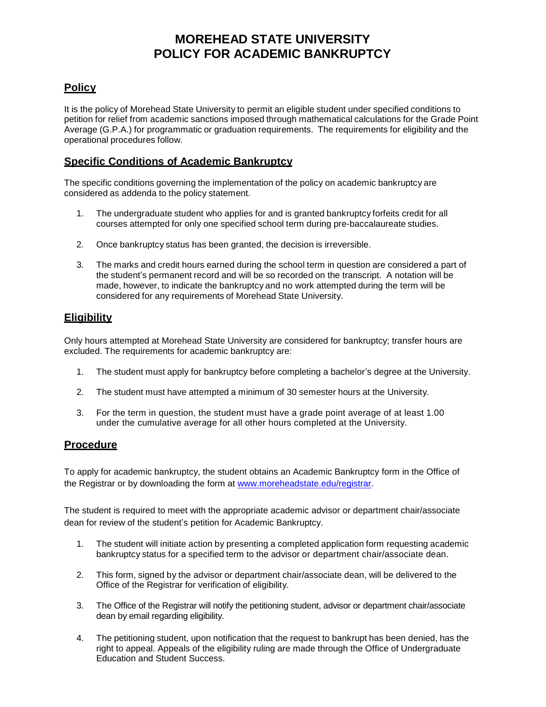# **MOREHEAD STATE UNIVERSITY POLICY FOR ACADEMIC BANKRUPTCY**

## **Policy**

It is the policy of Morehead State University to permit an eligible student under specified conditions to petition for relief from academic sanctions imposed through mathematical calculations for the Grade Point Average (G.P.A.) for programmatic or graduation requirements. The requirements for eligibility and the operational procedures follow.

### **Specific Conditions of Academic Bankruptcy**

The specific conditions governing the implementation of the policy on academic bankruptcy are considered as addenda to the policy statement.

- 1. The undergraduate student who applies for and is granted bankruptcy forfeits credit for all courses attempted for only one specified school term during pre-baccalaureate studies.
- 2. Once bankruptcy status has been granted, the decision is irreversible.
- 3. The marks and credit hours earned during the school term in question are considered a part of the student's permanent record and will be so recorded on the transcript. A notation will be made, however, to indicate the bankruptcy and no work attempted during the term will be considered for any requirements of Morehead State University.

### **Eligibility**

Only hours attempted at Morehead State University are considered for bankruptcy; transfer hours are excluded. The requirements for academic bankruptcy are:

- 1. The student must apply for bankruptcy before completing a bachelor's degree at the University.
- 2. The student must have attempted a minimum of 30 semester hours at the University.
- 3. For the term in question, the student must have a grade point average of at least 1.00 under the cumulative average for all other hours completed at the University.

#### **Procedure**

To apply for academic bankruptcy, the student obtains an Academic Bankruptcy form in the Office of the Registrar or by downloading the form at [www.moreheadstate.edu/registrar.](http://www.moreheadstate.edu/registrar)

The student is required to meet with the appropriate academic advisor or department chair/associate dean for review of the student's petition for Academic Bankruptcy.

- 1. The student will initiate action by presenting a completed application form requesting academic bankruptcy status for a specified term to the advisor or department chair/associate dean.
- 2. This form, signed by the advisor or department chair/associate dean, will be delivered to the Office of the Registrar for verification of eligibility.
- 3. The Office of the Registrar will notify the petitioning student, advisor or department chair/associate dean by email regarding eligibility.
- 4. The petitioning student, upon notification that the request to bankrupt has been denied, has the right to appeal. Appeals of the eligibility ruling are made through the Office of Undergraduate Education and Student Success.